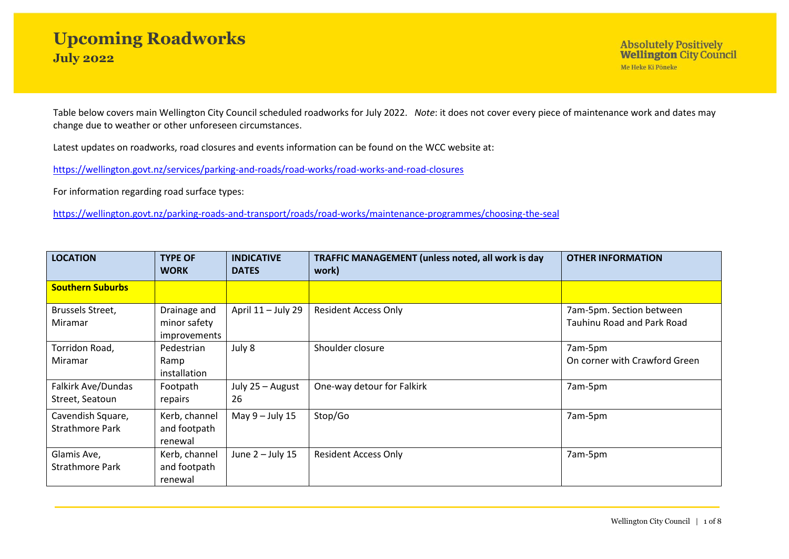Table below covers main Wellington City Council scheduled roadworks for July 2022. *Note*: it does not cover every piece of maintenance work and dates may change due to weather or other unforeseen circumstances.

Latest updates on roadworks, road closures and events information can be found on the WCC website at:

<https://wellington.govt.nz/services/parking-and-roads/road-works/road-works-and-road-closures>

For information regarding road surface types:

<https://wellington.govt.nz/parking-roads-and-transport/roads/road-works/maintenance-programmes/choosing-the-seal>

| <b>LOCATION</b>                             | <b>TYPE OF</b><br><b>WORK</b>                | <b>INDICATIVE</b><br><b>DATES</b> | <b>TRAFFIC MANAGEMENT (unless noted, all work is day</b><br>work) | <b>OTHER INFORMATION</b>                                      |
|---------------------------------------------|----------------------------------------------|-----------------------------------|-------------------------------------------------------------------|---------------------------------------------------------------|
| <b>Southern Suburbs</b>                     |                                              |                                   |                                                                   |                                                               |
| Brussels Street,<br>Miramar                 | Drainage and<br>minor safety<br>improvements | April 11 - July 29                | <b>Resident Access Only</b>                                       | 7am-5pm. Section between<br><b>Tauhinu Road and Park Road</b> |
| Torridon Road,<br>Miramar                   | Pedestrian<br>Ramp<br>installation           | July 8                            | Shoulder closure                                                  | 7am-5pm<br>On corner with Crawford Green                      |
| Falkirk Ave/Dundas<br>Street, Seatoun       | Footpath<br>repairs                          | July 25 - August<br>26            | One-way detour for Falkirk                                        | 7am-5pm                                                       |
| Cavendish Square,<br><b>Strathmore Park</b> | Kerb, channel<br>and footpath<br>renewal     | May $9$ – July 15                 | Stop/Go                                                           | 7am-5pm                                                       |
| Glamis Ave,<br><b>Strathmore Park</b>       | Kerb, channel<br>and footpath<br>renewal     | June $2 -$ July 15                | Resident Access Only                                              | 7am-5pm                                                       |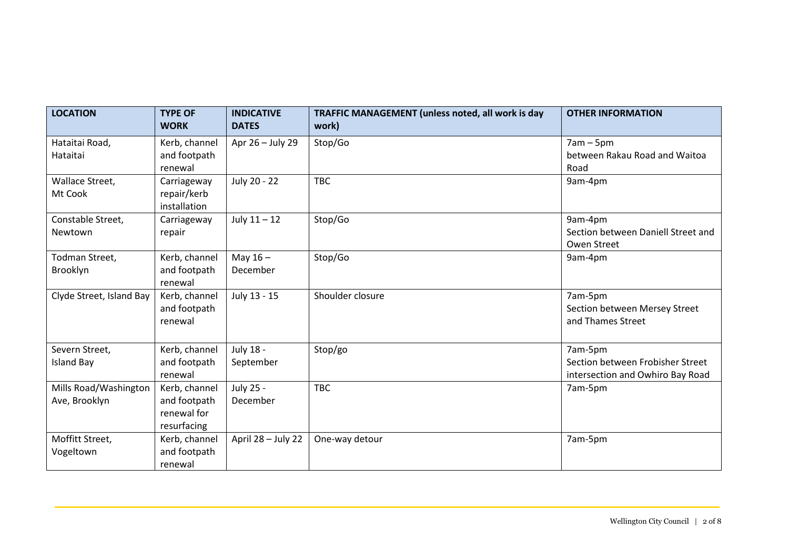| <b>LOCATION</b>                        | <b>TYPE OF</b><br><b>WORK</b>                               | <b>INDICATIVE</b><br><b>DATES</b> | TRAFFIC MANAGEMENT (unless noted, all work is day<br>work) | <b>OTHER INFORMATION</b>                                                        |
|----------------------------------------|-------------------------------------------------------------|-----------------------------------|------------------------------------------------------------|---------------------------------------------------------------------------------|
| Hataitai Road,<br>Hataitai             | Kerb, channel<br>and footpath<br>renewal                    | Apr 26 - July 29                  | Stop/Go                                                    | $7am - 5pm$<br>between Rakau Road and Waitoa<br>Road                            |
| Wallace Street,<br>Mt Cook             | Carriageway<br>repair/kerb<br>installation                  | July 20 - 22                      | <b>TBC</b>                                                 | 9am-4pm                                                                         |
| Constable Street,<br>Newtown           | Carriageway<br>repair                                       | July $11 - 12$                    | Stop/Go                                                    | 9am-4pm<br>Section between Daniell Street and<br>Owen Street                    |
| Todman Street,<br>Brooklyn             | Kerb, channel<br>and footpath<br>renewal                    | May $16 -$<br>December            | Stop/Go                                                    | 9am-4pm                                                                         |
| Clyde Street, Island Bay               | Kerb, channel<br>and footpath<br>renewal                    | July 13 - 15                      | Shoulder closure                                           | 7am-5pm<br>Section between Mersey Street<br>and Thames Street                   |
| Severn Street,<br><b>Island Bay</b>    | Kerb, channel<br>and footpath<br>renewal                    | July 18 -<br>September            | Stop/go                                                    | 7am-5pm<br>Section between Frobisher Street<br>intersection and Owhiro Bay Road |
| Mills Road/Washington<br>Ave, Brooklyn | Kerb, channel<br>and footpath<br>renewal for<br>resurfacing | July 25 -<br>December             | <b>TBC</b>                                                 | 7am-5pm                                                                         |
| Moffitt Street,<br>Vogeltown           | Kerb, channel<br>and footpath<br>renewal                    | April 28 - July 22                | One-way detour                                             | 7am-5pm                                                                         |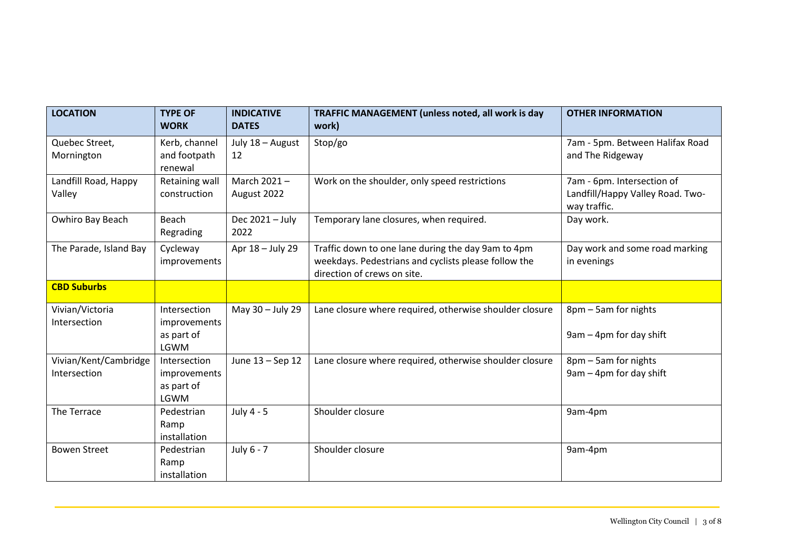| <b>LOCATION</b>                       | <b>TYPE OF</b><br><b>WORK</b>                      | <b>INDICATIVE</b><br><b>DATES</b> | TRAFFIC MANAGEMENT (unless noted, all work is day<br>work)                                                                                | <b>OTHER INFORMATION</b>                                                       |
|---------------------------------------|----------------------------------------------------|-----------------------------------|-------------------------------------------------------------------------------------------------------------------------------------------|--------------------------------------------------------------------------------|
| Quebec Street,<br>Mornington          | Kerb, channel<br>and footpath<br>renewal           | July 18 - August<br>12            | Stop/go                                                                                                                                   | 7am - 5pm. Between Halifax Road<br>and The Ridgeway                            |
| Landfill Road, Happy<br>Valley        | Retaining wall<br>construction                     | March 2021-<br>August 2022        | Work on the shoulder, only speed restrictions                                                                                             | 7am - 6pm. Intersection of<br>Landfill/Happy Valley Road. Two-<br>way traffic. |
| Owhiro Bay Beach                      | Beach<br>Regrading                                 | Dec 2021 - July<br>2022           | Temporary lane closures, when required.                                                                                                   | Day work.                                                                      |
| The Parade, Island Bay                | Cycleway<br>improvements                           | Apr 18 - July 29                  | Traffic down to one lane during the day 9am to 4pm<br>weekdays. Pedestrians and cyclists please follow the<br>direction of crews on site. | Day work and some road marking<br>in evenings                                  |
| <b>CBD Suburbs</b>                    |                                                    |                                   |                                                                                                                                           |                                                                                |
| Vivian/Victoria<br>Intersection       | Intersection<br>improvements<br>as part of<br>LGWM | May 30 - July 29                  | Lane closure where required, otherwise shoulder closure                                                                                   | 8pm - 5am for nights<br>9am - 4pm for day shift                                |
| Vivian/Kent/Cambridge<br>Intersection | Intersection<br>improvements<br>as part of<br>LGWM | June 13 - Sep 12                  | Lane closure where required, otherwise shoulder closure                                                                                   | 8pm - 5am for nights<br>$9$ am $-$ 4pm for day shift                           |
| The Terrace                           | Pedestrian<br>Ramp<br>installation                 | July 4 - 5                        | Shoulder closure                                                                                                                          | 9am-4pm                                                                        |
| <b>Bowen Street</b>                   | Pedestrian<br>Ramp<br>installation                 | July 6 - 7                        | Shoulder closure                                                                                                                          | 9am-4pm                                                                        |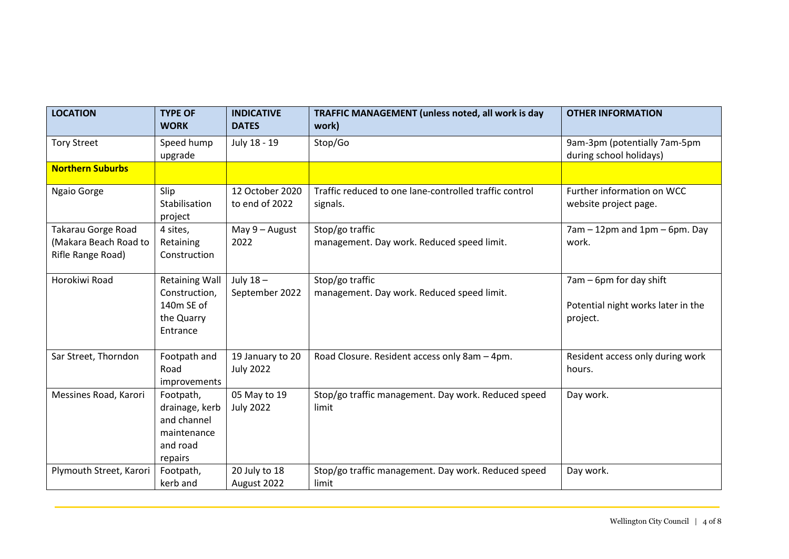| <b>LOCATION</b>                                                         | <b>TYPE OF</b><br><b>WORK</b>                                                    | <b>INDICATIVE</b><br><b>DATES</b>    | TRAFFIC MANAGEMENT (unless noted, all work is day<br>work)         | <b>OTHER INFORMATION</b>                                                  |
|-------------------------------------------------------------------------|----------------------------------------------------------------------------------|--------------------------------------|--------------------------------------------------------------------|---------------------------------------------------------------------------|
| <b>Tory Street</b>                                                      | Speed hump<br>upgrade                                                            | July 18 - 19                         | Stop/Go                                                            | 9am-3pm (potentially 7am-5pm<br>during school holidays)                   |
| <b>Northern Suburbs</b>                                                 |                                                                                  |                                      |                                                                    |                                                                           |
| Ngaio Gorge                                                             | Slip<br>Stabilisation<br>project                                                 | 12 October 2020<br>to end of 2022    | Traffic reduced to one lane-controlled traffic control<br>signals. | Further information on WCC<br>website project page.                       |
| <b>Takarau Gorge Road</b><br>(Makara Beach Road to<br>Rifle Range Road) | 4 sites,<br>Retaining<br>Construction                                            | May $9 -$ August<br>2022             | Stop/go traffic<br>management. Day work. Reduced speed limit.      | $7am - 12pm$ and $1pm - 6pm$ . Day<br>work.                               |
| Horokiwi Road                                                           | <b>Retaining Wall</b><br>Construction,<br>140m SE of<br>the Quarry<br>Entrance   | July $18-$<br>September 2022         | Stop/go traffic<br>management. Day work. Reduced speed limit.      | 7am – 6pm for day shift<br>Potential night works later in the<br>project. |
| Sar Street, Thorndon                                                    | Footpath and<br>Road<br>improvements                                             | 19 January to 20<br><b>July 2022</b> | Road Closure. Resident access only 8am - 4pm.                      | Resident access only during work<br>hours.                                |
| Messines Road, Karori                                                   | Footpath,<br>drainage, kerb<br>and channel<br>maintenance<br>and road<br>repairs | 05 May to 19<br><b>July 2022</b>     | Stop/go traffic management. Day work. Reduced speed<br>limit       | Day work.                                                                 |
| Plymouth Street, Karori                                                 | Footpath,<br>kerb and                                                            | 20 July to 18<br>August 2022         | Stop/go traffic management. Day work. Reduced speed<br>limit       | Day work.                                                                 |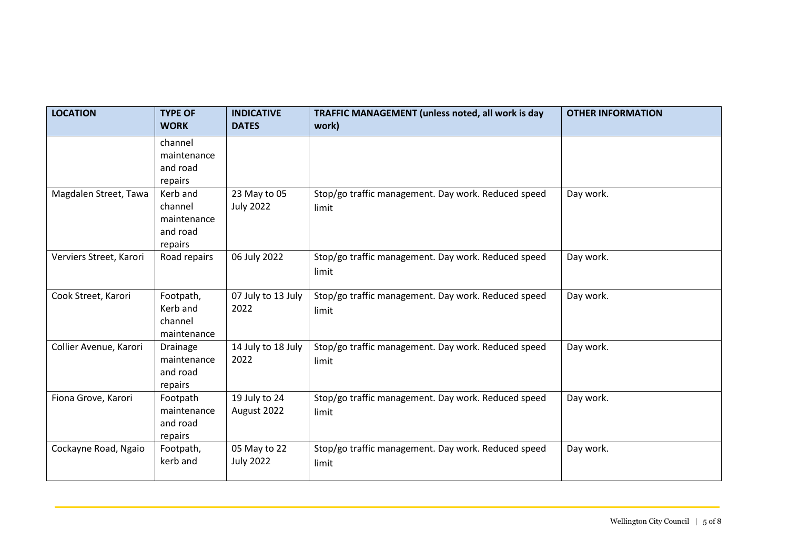| <b>LOCATION</b>         | <b>TYPE OF</b><br><b>WORK</b>                             | <b>INDICATIVE</b><br><b>DATES</b> | TRAFFIC MANAGEMENT (unless noted, all work is day<br>work)   | <b>OTHER INFORMATION</b> |
|-------------------------|-----------------------------------------------------------|-----------------------------------|--------------------------------------------------------------|--------------------------|
|                         | channel<br>maintenance<br>and road<br>repairs             |                                   |                                                              |                          |
| Magdalen Street, Tawa   | Kerb and<br>channel<br>maintenance<br>and road<br>repairs | 23 May to 05<br><b>July 2022</b>  | Stop/go traffic management. Day work. Reduced speed<br>limit | Day work.                |
| Verviers Street, Karori | Road repairs                                              | 06 July 2022                      | Stop/go traffic management. Day work. Reduced speed<br>limit | Day work.                |
| Cook Street, Karori     | Footpath,<br>Kerb and<br>channel<br>maintenance           | 07 July to 13 July<br>2022        | Stop/go traffic management. Day work. Reduced speed<br>limit | Day work.                |
| Collier Avenue, Karori  | Drainage<br>maintenance<br>and road<br>repairs            | 14 July to 18 July<br>2022        | Stop/go traffic management. Day work. Reduced speed<br>limit | Day work.                |
| Fiona Grove, Karori     | Footpath<br>maintenance<br>and road<br>repairs            | 19 July to 24<br>August 2022      | Stop/go traffic management. Day work. Reduced speed<br>limit | Day work.                |
| Cockayne Road, Ngaio    | Footpath,<br>kerb and                                     | 05 May to 22<br><b>July 2022</b>  | Stop/go traffic management. Day work. Reduced speed<br>limit | Day work.                |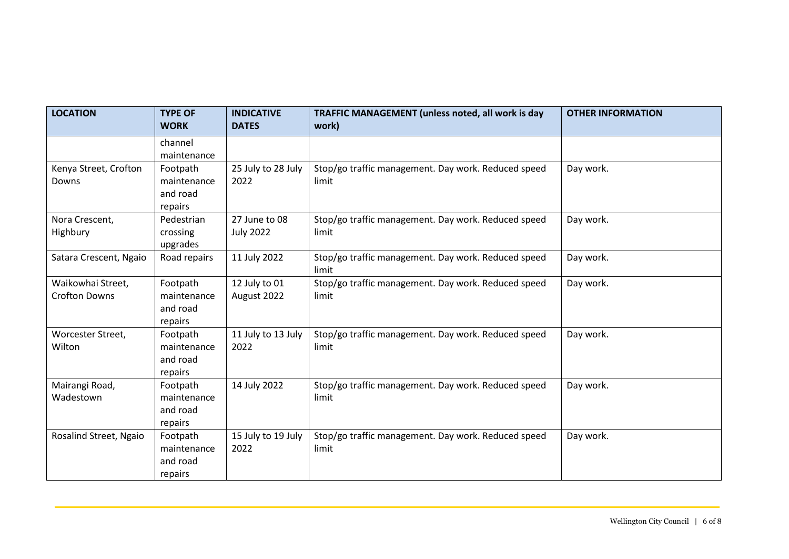| <b>LOCATION</b>                           | <b>TYPE OF</b><br><b>WORK</b>                  | <b>INDICATIVE</b><br><b>DATES</b> | TRAFFIC MANAGEMENT (unless noted, all work is day<br>work)   | <b>OTHER INFORMATION</b> |
|-------------------------------------------|------------------------------------------------|-----------------------------------|--------------------------------------------------------------|--------------------------|
|                                           | channel<br>maintenance                         |                                   |                                                              |                          |
| Kenya Street, Crofton<br>Downs            | Footpath<br>maintenance<br>and road<br>repairs | 25 July to 28 July<br>2022        | Stop/go traffic management. Day work. Reduced speed<br>limit | Day work.                |
| Nora Crescent,<br>Highbury                | Pedestrian<br>crossing<br>upgrades             | 27 June to 08<br><b>July 2022</b> | Stop/go traffic management. Day work. Reduced speed<br>limit | Day work.                |
| Satara Crescent, Ngaio                    | Road repairs                                   | 11 July 2022                      | Stop/go traffic management. Day work. Reduced speed<br>limit | Day work.                |
| Waikowhai Street,<br><b>Crofton Downs</b> | Footpath<br>maintenance<br>and road<br>repairs | 12 July to 01<br>August 2022      | Stop/go traffic management. Day work. Reduced speed<br>limit | Day work.                |
| Worcester Street,<br>Wilton               | Footpath<br>maintenance<br>and road<br>repairs | 11 July to 13 July<br>2022        | Stop/go traffic management. Day work. Reduced speed<br>limit | Day work.                |
| Mairangi Road,<br>Wadestown               | Footpath<br>maintenance<br>and road<br>repairs | 14 July 2022                      | Stop/go traffic management. Day work. Reduced speed<br>limit | Day work.                |
| Rosalind Street, Ngaio                    | Footpath<br>maintenance<br>and road<br>repairs | 15 July to 19 July<br>2022        | Stop/go traffic management. Day work. Reduced speed<br>limit | Day work.                |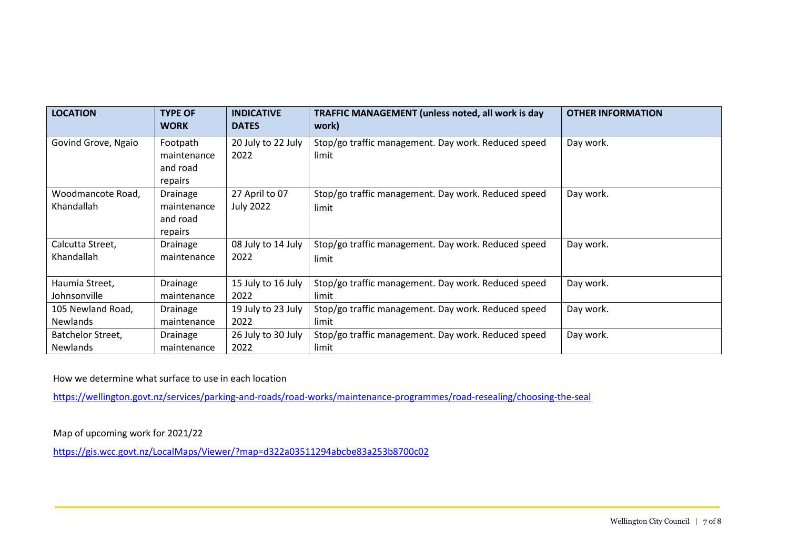| <b>LOCATION</b>                 | <b>TYPE OF</b><br><b>WORK</b>                  | <b>INDICATIVE</b><br><b>DATES</b>  | TRAFFIC MANAGEMENT (unless noted, all work is day<br>work)   | <b>OTHER INFORMATION</b> |
|---------------------------------|------------------------------------------------|------------------------------------|--------------------------------------------------------------|--------------------------|
| Govind Grove, Ngaio             | Footpath<br>maintenance<br>and road<br>repairs | 20 July to 22 July<br>2022         | Stop/go traffic management. Day work. Reduced speed<br>limit | Day work.                |
| Woodmancote Road,<br>Khandallah | Drainage<br>maintenance<br>and road<br>repairs | 27 April to 07<br><b>July 2022</b> | Stop/go traffic management. Day work. Reduced speed<br>limit | Day work.                |
| Calcutta Street,                | Drainage                                       | 08 July to 14 July                 | Stop/go traffic management. Day work. Reduced speed          | Day work.                |
| Khandallah                      | maintenance                                    | 2022                               | limit                                                        |                          |
| Haumia Street,                  | Drainage                                       | 15 July to 16 July                 | Stop/go traffic management. Day work. Reduced speed          | Day work.                |
| Johnsonville                    | maintenance                                    | 2022                               | limit                                                        |                          |
| 105 Newland Road,               | Drainage                                       | 19 July to 23 July                 | Stop/go traffic management. Day work. Reduced speed          | Day work.                |
| <b>Newlands</b>                 | maintenance                                    | 2022                               | limit                                                        |                          |
| Batchelor Street,               | Drainage                                       | 26 July to 30 July                 | Stop/go traffic management. Day work. Reduced speed          | Day work.                |
| <b>Newlands</b>                 | maintenance                                    | 2022                               | limit                                                        |                          |

## How we determine what surface to use in each location

<https://wellington.govt.nz/services/parking-and-roads/road-works/maintenance-programmes/road-resealing/choosing-the-seal>

Map of upcoming work for 2021/22

<https://gis.wcc.govt.nz/LocalMaps/Viewer/?map=d322a03511294abcbe83a253b8700c02>